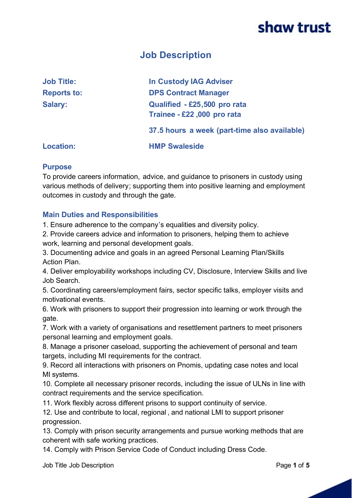## **Job Description**

| <b>Job Title:</b>  | <b>In Custody IAG Adviser</b>                              |
|--------------------|------------------------------------------------------------|
| <b>Reports to:</b> | <b>DPS Contract Manager</b>                                |
| <b>Salary:</b>     | Qualified - £25,500 pro rata<br>Trainee - £22,000 pro rata |
|                    | 37.5 hours a week (part-time also available)               |
| <b>Location:</b>   | <b>HMP Swaleside</b>                                       |

## **Purpose**

To provide careers information, advice, and guidance to prisoners in custody using various methods of delivery; supporting them into positive learning and employment outcomes in custody and through the gate.

## **Main Duties and Responsibilities**

1. Ensure adherence to the company's equalities and diversity policy.

2. Provide careers advice and information to prisoners, helping them to achieve work, learning and personal development goals.

3. Documenting advice and goals in an agreed Personal Learning Plan/Skills Action Plan.

4. Deliver employability workshops including CV, Disclosure, Interview Skills and live Job Search.

5. Coordinating careers/employment fairs, sector specific talks, employer visits and motivational events.

6. Work with prisoners to support their progression into learning or work through the gate.

7. Work with a variety of organisations and resettlement partners to meet prisoners personal learning and employment goals.

8. Manage a prisoner caseload, supporting the achievement of personal and team targets, including MI requirements for the contract.

9. Record all interactions with prisoners on Pnomis, updating case notes and local MI systems.

10. Complete all necessary prisoner records, including the issue of ULNs in line with contract requirements and the service specification.

11. Work flexibly across different prisons to support continuity of service.

12. Use and contribute to local, regional , and national LMI to support prisoner progression.

13. Comply with prison security arrangements and pursue working methods that are coherent with safe working practices.

14. Comply with Prison Service Code of Conduct including Dress Code.

Job Title Job Description Page **1** of **5**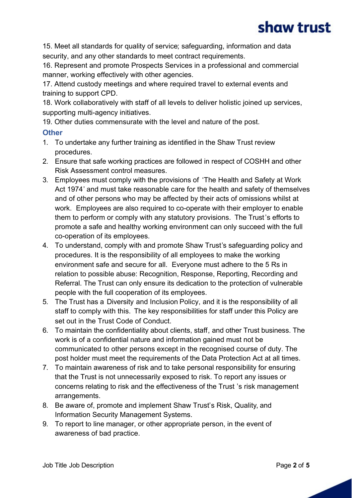15. Meet all standards for quality of service; safeguarding, information and data security, and any other standards to meet contract requirements.

16. Represent and promote Prospects Services in a professional and commercial manner, working effectively with other agencies.

17. Attend custody meetings and where required travel to external events and training to support CPD.

18. Work collaboratively with staff of all levels to deliver holistic joined up services, supporting multi-agency initiatives.

19. Other duties commensurate with the level and nature of the post.

## **Other**

- 1. To undertake any further training as identified in the Shaw Trust review procedures.
- 2. Ensure that safe working practices are followed in respect of COSHH and other Risk Assessment control measures.
- 3. Employees must comply with the provisions of 'The Health and Safety at Work Act 1974' and must take reasonable care for the health and safety of themselves and of other persons who may be affected by their acts of omissions whilst at work. Employees are also required to co-operate with their employer to enable them to perform or comply with any statutory provisions. The Trust's efforts to promote a safe and healthy working environment can only succeed with the full co-operation of its employees.
- 4. To understand, comply with and promote Shaw Trust's safeguarding policy and procedures. It is the responsibility of all employees to make the working environment safe and secure for all. Everyone must adhere to the 5 Rs in relation to possible abuse: Recognition, Response, Reporting, Recording and Referral. The Trust can only ensure its dedication to the protection of vulnerable people with the full cooperation of its employees.
- 5. The Trust has a Diversity and Inclusion Policy, and it is the responsibility of all staff to comply with this. The key responsibilities for staff under this Policy are set out in the Trust Code of Conduct.
- 6. To maintain the confidentiality about clients, staff, and other Trust business. The work is of a confidential nature and information gained must not be communicated to other persons except in the recognised course of duty. The post holder must meet the requirements of the Data Protection Act at all times.
- 7. To maintain awareness of risk and to take personal responsibility for ensuring that the Trust is not unnecessarily exposed to risk. To report any issues or concerns relating to risk and the effectiveness of the Trust 's risk management arrangements.
- 8. Be aware of, promote and implement Shaw Trust's Risk, Quality, and Information Security Management Systems.
- 9. To report to line manager, or other appropriate person, in the event of awareness of bad practice.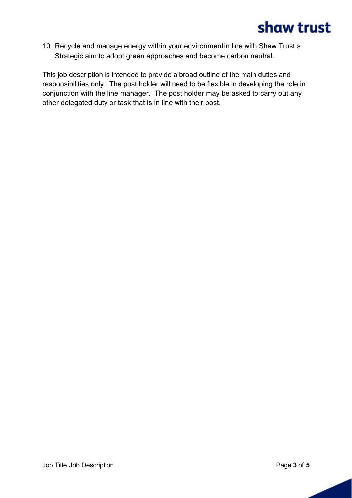10. Recycle and manage energy within your environmentin line with Shaw Trust's Strategic aim to adopt green approaches and become carbon neutral.

This job description is intended to provide a broad outline of the main duties and responsibilities only. The post holder will need to be flexible in developing the role in conjunction with the line manager. The post holder may be asked to carry out any other delegated duty or task that is in line with their post.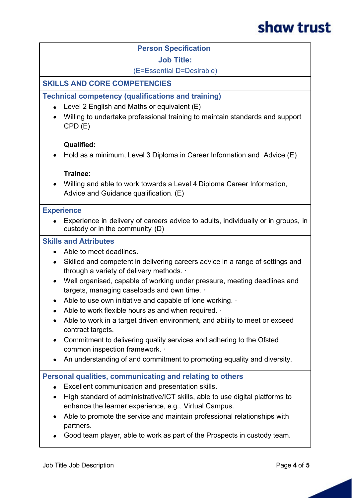## **Person Specification**

#### **Job Title:**

(E=Essential D=Desirable)

## **SKILLS AND CORE COMPETENCIES**

## **Technical competency (qualifications and training)**

- $\bullet$  Level 2 English and Maths or equivalent (E)
- · Willing to undertake professional training to maintain standards and support CPD (E)

## **Qualified:**

• Hold as a minimum, Level 3 Diploma in Career Information and Advice (E)

## **Trainee:**

· Willing and able to work towards a Level 4 Diploma Career Information, Advice and Guidance qualification. (E)

#### **Experience**

· Experience in delivery of careers advice to adults, individually or in groups, in custody or in the community (D)

## **Skills and Attributes**

- · Able to meet deadlines.
- · Skilled and competent in delivering careers advice in a range of settings and through a variety of delivery methods.
- · Well organised, capable of working under pressure, meeting deadlines and targets, managing caseloads and own time.
- Able to use own initiative and capable of lone working.
- Able to work flexible hours as and when required.  $\cdot$
- Able to work in a target driven environment, and ability to meet or exceed contract targets.
- · Commitment to delivering quality services and adhering to the Ofsted common inspection framework.  $\cdot$
- An understanding of and commitment to promoting equality and diversity.

## **Personal qualities, communicating and relating to others**

- · Excellent communication and presentation skills.
- · High standard of administrative/ICT skills, able to use digital platforms to enhance the learner experience, e.g., Virtual Campus.
- Able to promote the service and maintain professional relationships with partners.
- · Good team player, able to work as part of the Prospects in custody team.